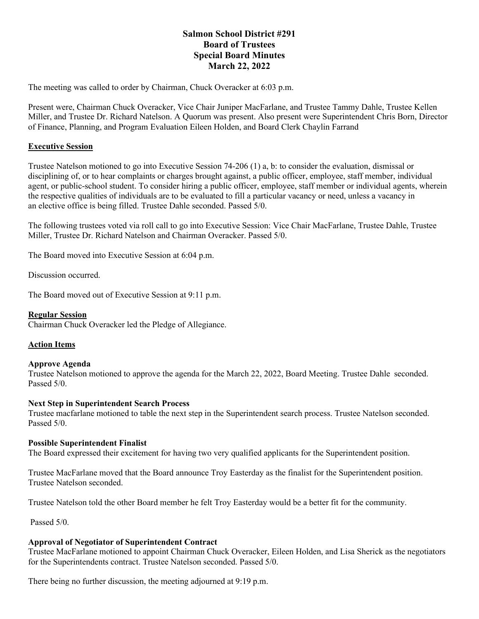# **Salmon School District #291 Board of Trustees Special Board Minutes March 22, 2022**

The meeting was called to order by Chairman, Chuck Overacker at 6:03 p.m.

Present were, Chairman Chuck Overacker, Vice Chair Juniper MacFarlane, and Trustee Tammy Dahle, Trustee Kellen Miller, and Trustee Dr. Richard Natelson. A Quorum was present. Also present were Superintendent Chris Born, Director of Finance, Planning, and Program Evaluation Eileen Holden, and Board Clerk Chaylin Farrand

## **Executive Session**

Trustee Natelson motioned to go into Executive Session 74-206 (1) a, b: to consider the evaluation, dismissal or disciplining of, or to hear complaints or charges brought against, a public officer, employee, staff member, individual agent, or public-school student. To consider hiring a public officer, employee, staff member or individual agents, wherein the respective qualities of individuals are to be evaluated to fill a particular vacancy or need, unless a vacancy in an elective office is being filled. Trustee Dahle seconded. Passed 5/0.

The following trustees voted via roll call to go into Executive Session: Vice Chair MacFarlane, Trustee Dahle, Trustee Miller, Trustee Dr. Richard Natelson and Chairman Overacker. Passed 5/0.

The Board moved into Executive Session at 6:04 p.m.

Discussion occurred.

The Board moved out of Executive Session at 9:11 p.m.

### **Regular Session**

Chairman Chuck Overacker led the Pledge of Allegiance.

## **Action Items**

### **Approve Agenda**

Trustee Natelson motioned to approve the agenda for the March 22, 2022, Board Meeting. Trustee Dahle seconded. Passed 5/0.

### **Next Step in Superintendent Search Process**

Trustee macfarlane motioned to table the next step in the Superintendent search process. Trustee Natelson seconded. Passed 5/0.

### **Possible Superintendent Finalist**

The Board expressed their excitement for having two very qualified applicants for the Superintendent position.

Trustee MacFarlane moved that the Board announce Troy Easterday as the finalist for the Superintendent position. Trustee Natelson seconded.

Trustee Natelson told the other Board member he felt Troy Easterday would be a better fit for the community.

Passed 5/0.

## **Approval of Negotiator of Superintendent Contract**

Trustee MacFarlane motioned to appoint Chairman Chuck Overacker, Eileen Holden, and Lisa Sherick as the negotiators for the Superintendents contract. Trustee Natelson seconded. Passed 5/0.

There being no further discussion, the meeting adjourned at 9:19 p.m.